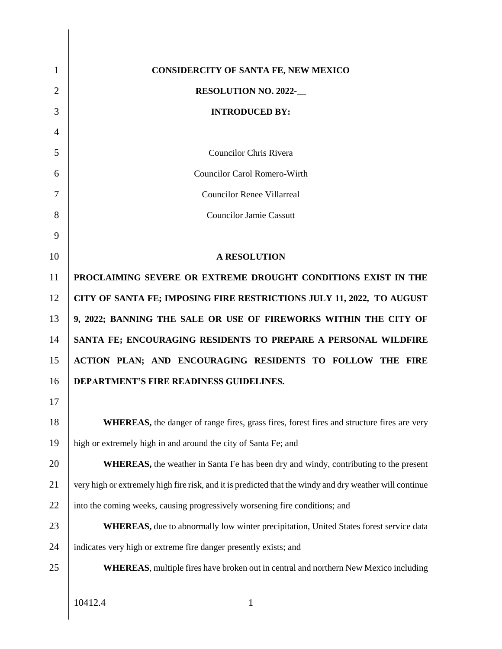| 1              | <b>CONSIDERCITY OF SANTA FE, NEW MEXICO</b>                                                             |
|----------------|---------------------------------------------------------------------------------------------------------|
| $\overline{2}$ | <b>RESOLUTION NO. 2022-</b>                                                                             |
| 3              | <b>INTRODUCED BY:</b>                                                                                   |
| 4              |                                                                                                         |
| 5              | <b>Councilor Chris Rivera</b>                                                                           |
| 6              | <b>Councilor Carol Romero-Wirth</b>                                                                     |
| 7              | <b>Councilor Renee Villarreal</b>                                                                       |
| 8              | <b>Councilor Jamie Cassutt</b>                                                                          |
| 9              |                                                                                                         |
| 10             | <b>A RESOLUTION</b>                                                                                     |
| 11             | PROCLAIMING SEVERE OR EXTREME DROUGHT CONDITIONS EXIST IN THE                                           |
| 12             | CITY OF SANTA FE; IMPOSING FIRE RESTRICTIONS JULY 11, 2022, TO AUGUST                                   |
| 13             | 9, 2022; BANNING THE SALE OR USE OF FIREWORKS WITHIN THE CITY OF                                        |
| 14             | SANTA FE; ENCOURAGING RESIDENTS TO PREPARE A PERSONAL WILDFIRE                                          |
| 15             | ACTION PLAN; AND ENCOURAGING RESIDENTS TO FOLLOW THE FIRE                                               |
| 16             | DEPARTMENT'S FIRE READINESS GUIDELINES.                                                                 |
| 17             |                                                                                                         |
| 18             | WHEREAS, the danger of range fires, grass fires, forest fires and structure fires are very              |
| 19             | high or extremely high in and around the city of Santa Fe; and                                          |
| 20             | <b>WHEREAS</b> , the weather in Santa Fe has been dry and windy, contributing to the present            |
| 21             | very high or extremely high fire risk, and it is predicted that the windy and dry weather will continue |
| 22             | into the coming weeks, causing progressively worsening fire conditions; and                             |
| 23             | <b>WHEREAS</b> , due to abnormally low winter precipitation, United States forest service data          |
| 24             | indicates very high or extreme fire danger presently exists; and                                        |
| 25             | <b>WHEREAS</b> , multiple fires have broken out in central and northern New Mexico including            |
|                |                                                                                                         |

10412.4 1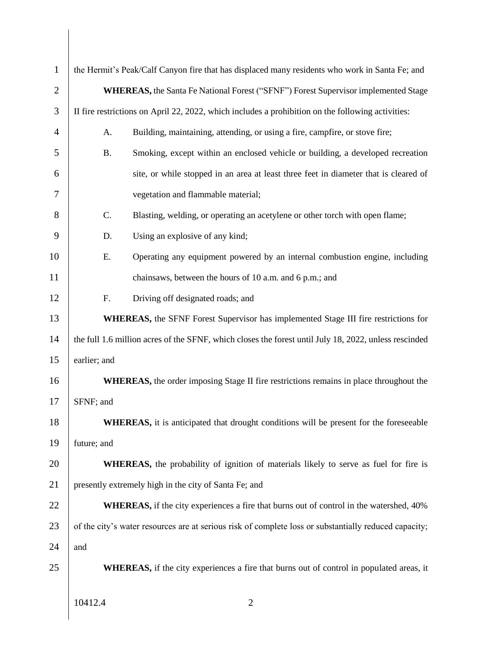| $\mathbf{1}$   |                                                                                                       | the Hermit's Peak/Calf Canyon fire that has displaced many residents who work in Santa Fe; and        |  |  |  |  |  |
|----------------|-------------------------------------------------------------------------------------------------------|-------------------------------------------------------------------------------------------------------|--|--|--|--|--|
| $\overline{2}$ | <b>WHEREAS, the Santa Fe National Forest ("SFNF") Forest Supervisor implemented Stage</b>             |                                                                                                       |  |  |  |  |  |
| 3              | II fire restrictions on April 22, 2022, which includes a prohibition on the following activities:     |                                                                                                       |  |  |  |  |  |
| $\overline{4}$ | A.                                                                                                    | Building, maintaining, attending, or using a fire, campfire, or stove fire;                           |  |  |  |  |  |
| 5              | <b>B.</b>                                                                                             | Smoking, except within an enclosed vehicle or building, a developed recreation                        |  |  |  |  |  |
| 6              |                                                                                                       | site, or while stopped in an area at least three feet in diameter that is cleared of                  |  |  |  |  |  |
| 7              |                                                                                                       | vegetation and flammable material;                                                                    |  |  |  |  |  |
| 8              | C.                                                                                                    | Blasting, welding, or operating an acetylene or other torch with open flame;                          |  |  |  |  |  |
| 9              | D.                                                                                                    | Using an explosive of any kind;                                                                       |  |  |  |  |  |
| 10             | Ε.                                                                                                    | Operating any equipment powered by an internal combustion engine, including                           |  |  |  |  |  |
| 11             |                                                                                                       | chainsaws, between the hours of 10 a.m. and 6 p.m.; and                                               |  |  |  |  |  |
| 12             | F.                                                                                                    | Driving off designated roads; and                                                                     |  |  |  |  |  |
| 13             |                                                                                                       | <b>WHEREAS</b> , the SFNF Forest Supervisor has implemented Stage III fire restrictions for           |  |  |  |  |  |
| 14             | the full 1.6 million acres of the SFNF, which closes the forest until July 18, 2022, unless rescinded |                                                                                                       |  |  |  |  |  |
| 15             | earlier; and                                                                                          |                                                                                                       |  |  |  |  |  |
| 16             | <b>WHEREAS</b> , the order imposing Stage II fire restrictions remains in place throughout the        |                                                                                                       |  |  |  |  |  |
| 17             | SFNF; and                                                                                             |                                                                                                       |  |  |  |  |  |
| 18             | WHEREAS, it is anticipated that drought conditions will be present for the foreseeable                |                                                                                                       |  |  |  |  |  |
| 19             | future; and                                                                                           |                                                                                                       |  |  |  |  |  |
| 20             | <b>WHEREAS</b> , the probability of ignition of materials likely to serve as fuel for fire is         |                                                                                                       |  |  |  |  |  |
| 21             | presently extremely high in the city of Santa Fe; and                                                 |                                                                                                       |  |  |  |  |  |
| 22             |                                                                                                       | <b>WHEREAS</b> , if the city experiences a fire that burns out of control in the watershed, 40%       |  |  |  |  |  |
| 23             |                                                                                                       | of the city's water resources are at serious risk of complete loss or substantially reduced capacity; |  |  |  |  |  |
| 24             | and                                                                                                   |                                                                                                       |  |  |  |  |  |
| 25             |                                                                                                       | <b>WHEREAS</b> , if the city experiences a fire that burns out of control in populated areas, it      |  |  |  |  |  |
|                |                                                                                                       |                                                                                                       |  |  |  |  |  |
|                | 10412.4                                                                                               | 2                                                                                                     |  |  |  |  |  |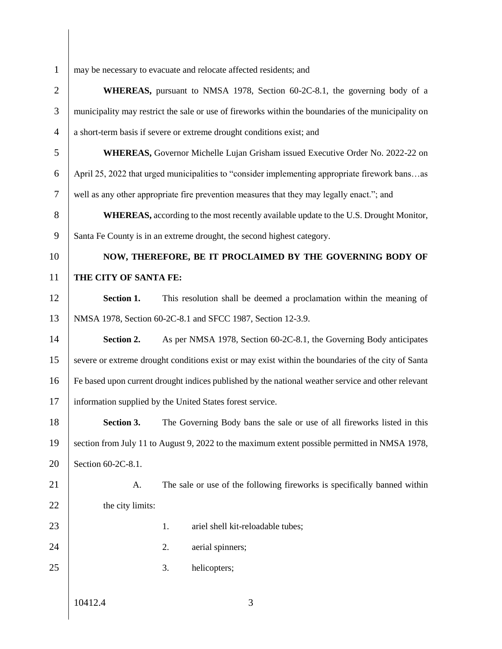| $\mathbf{1}$   | may be necessary to evacuate and relocate affected residents; and                                   |                                                                       |                                                                                    |  |  |  |
|----------------|-----------------------------------------------------------------------------------------------------|-----------------------------------------------------------------------|------------------------------------------------------------------------------------|--|--|--|
| $\overline{2}$ |                                                                                                     |                                                                       | <b>WHEREAS</b> , pursuant to NMSA 1978, Section 60-2C-8.1, the governing body of a |  |  |  |
| 3              | municipality may restrict the sale or use of fireworks within the boundaries of the municipality on |                                                                       |                                                                                    |  |  |  |
| $\overline{4}$ |                                                                                                     | a short-term basis if severe or extreme drought conditions exist; and |                                                                                    |  |  |  |
| 5              | <b>WHEREAS,</b> Governor Michelle Lujan Grisham issued Executive Order No. 2022-22 on               |                                                                       |                                                                                    |  |  |  |
| 6              | April 25, 2022 that urged municipalities to "consider implementing appropriate firework bansas      |                                                                       |                                                                                    |  |  |  |
| $\tau$         | well as any other appropriate fire prevention measures that they may legally enact."; and           |                                                                       |                                                                                    |  |  |  |
| $8\,$          | <b>WHEREAS</b> , according to the most recently available update to the U.S. Drought Monitor,       |                                                                       |                                                                                    |  |  |  |
| 9              | Santa Fe County is in an extreme drought, the second highest category.                              |                                                                       |                                                                                    |  |  |  |
| 10             | NOW, THEREFORE, BE IT PROCLAIMED BY THE GOVERNING BODY OF                                           |                                                                       |                                                                                    |  |  |  |
| 11             | THE CITY OF SANTA FE:                                                                               |                                                                       |                                                                                    |  |  |  |
| 12             | Section 1.                                                                                          |                                                                       | This resolution shall be deemed a proclamation within the meaning of               |  |  |  |
| 13             |                                                                                                     |                                                                       | NMSA 1978, Section 60-2C-8.1 and SFCC 1987, Section 12-3.9.                        |  |  |  |
| 14             | Section 2.                                                                                          |                                                                       | As per NMSA 1978, Section 60-2C-8.1, the Governing Body anticipates                |  |  |  |
| 15             | severe or extreme drought conditions exist or may exist within the boundaries of the city of Santa  |                                                                       |                                                                                    |  |  |  |
| 16             | Fe based upon current drought indices published by the national weather service and other relevant  |                                                                       |                                                                                    |  |  |  |
| 17             |                                                                                                     |                                                                       | information supplied by the United States forest service.                          |  |  |  |
| 18             | Section 3.                                                                                          |                                                                       | The Governing Body bans the sale or use of all fireworks listed in this            |  |  |  |
| 19             | section from July 11 to August 9, 2022 to the maximum extent possible permitted in NMSA 1978,       |                                                                       |                                                                                    |  |  |  |
| 20             | Section 60-2C-8.1.                                                                                  |                                                                       |                                                                                    |  |  |  |
| 21             | A.                                                                                                  |                                                                       | The sale or use of the following fireworks is specifically banned within           |  |  |  |
| 22             | the city limits:                                                                                    |                                                                       |                                                                                    |  |  |  |
| 23             |                                                                                                     | 1.                                                                    | ariel shell kit-reloadable tubes;                                                  |  |  |  |
| 24             |                                                                                                     | 2.                                                                    | aerial spinners;                                                                   |  |  |  |
| 25             |                                                                                                     | 3.                                                                    | helicopters;                                                                       |  |  |  |
|                |                                                                                                     |                                                                       |                                                                                    |  |  |  |
|                | 10412.4                                                                                             |                                                                       | 3                                                                                  |  |  |  |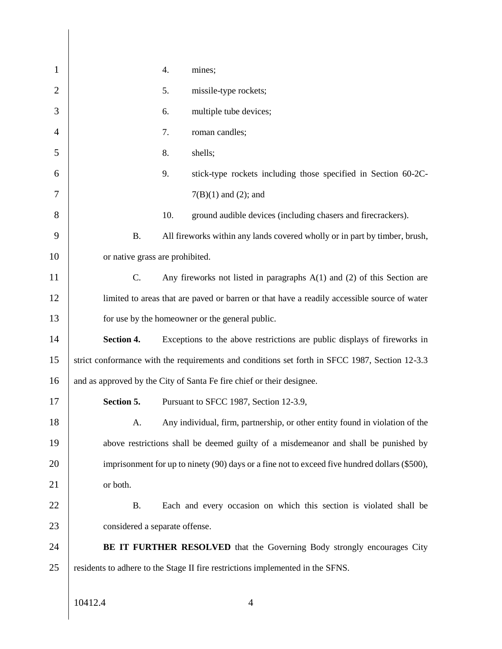| 1              |                                                                                               | 4.  | mines;                                                                                         |  |  |
|----------------|-----------------------------------------------------------------------------------------------|-----|------------------------------------------------------------------------------------------------|--|--|
| $\overline{2}$ |                                                                                               | 5.  | missile-type rockets;                                                                          |  |  |
| 3              |                                                                                               | 6.  | multiple tube devices;                                                                         |  |  |
| $\overline{4}$ |                                                                                               | 7.  | roman candles;                                                                                 |  |  |
| 5              |                                                                                               | 8.  | shells;                                                                                        |  |  |
| 6              |                                                                                               | 9.  | stick-type rockets including those specified in Section 60-2C-                                 |  |  |
| 7              |                                                                                               |     | $7(B)(1)$ and (2); and                                                                         |  |  |
| 8              |                                                                                               | 10. | ground audible devices (including chasers and firecrackers).                                   |  |  |
| 9              | <b>B.</b>                                                                                     |     | All fireworks within any lands covered wholly or in part by timber, brush,                     |  |  |
| 10             | or native grass are prohibited.                                                               |     |                                                                                                |  |  |
| 11             | C.                                                                                            |     | Any fireworks not listed in paragraphs $A(1)$ and (2) of this Section are                      |  |  |
| 12             |                                                                                               |     | limited to areas that are paved or barren or that have a readily accessible source of water    |  |  |
| 13             | for use by the homeowner or the general public.                                               |     |                                                                                                |  |  |
| 14             | Section 4.                                                                                    |     | Exceptions to the above restrictions are public displays of fireworks in                       |  |  |
| 15             |                                                                                               |     | strict conformance with the requirements and conditions set forth in SFCC 1987, Section 12-3.3 |  |  |
| 16             |                                                                                               |     | and as approved by the City of Santa Fe fire chief or their designee.                          |  |  |
| 17             | Section 5.                                                                                    |     | Pursuant to SFCC 1987, Section 12-3.9,                                                         |  |  |
| 18             | A.                                                                                            |     | Any individual, firm, partnership, or other entity found in violation of the                   |  |  |
| 19             | above restrictions shall be deemed guilty of a misdemeanor and shall be punished by           |     |                                                                                                |  |  |
| 20             | imprisonment for up to ninety (90) days or a fine not to exceed five hundred dollars (\$500), |     |                                                                                                |  |  |
| 21             | or both.                                                                                      |     |                                                                                                |  |  |
| 22             | <b>B.</b>                                                                                     |     | Each and every occasion on which this section is violated shall be                             |  |  |
| 23             | considered a separate offense.                                                                |     |                                                                                                |  |  |
| 24             | <b>BE IT FURTHER RESOLVED</b> that the Governing Body strongly encourages City                |     |                                                                                                |  |  |
| 25             |                                                                                               |     | residents to adhere to the Stage II fire restrictions implemented in the SFNS.                 |  |  |
|                |                                                                                               |     |                                                                                                |  |  |
|                | 10412.4                                                                                       |     | 4                                                                                              |  |  |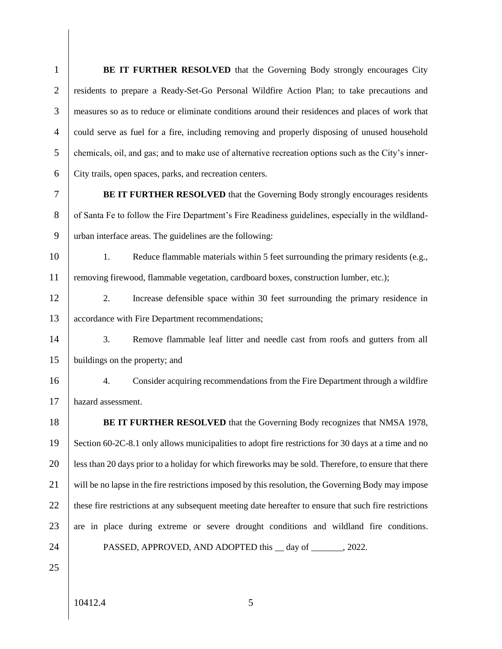| $\mathbf{1}$   | <b>BE IT FURTHER RESOLVED</b> that the Governing Body strongly encourages City                         |
|----------------|--------------------------------------------------------------------------------------------------------|
| $\overline{2}$ | residents to prepare a Ready-Set-Go Personal Wildfire Action Plan; to take precautions and             |
| 3              | measures so as to reduce or eliminate conditions around their residences and places of work that       |
| $\overline{4}$ | could serve as fuel for a fire, including removing and properly disposing of unused household          |
| 5              | chemicals, oil, and gas; and to make use of alternative recreation options such as the City's inner-   |
| 6              | City trails, open spaces, parks, and recreation centers.                                               |
| $\overline{7}$ | <b>BE IT FURTHER RESOLVED</b> that the Governing Body strongly encourages residents                    |
| $8\,$          | of Santa Fe to follow the Fire Department's Fire Readiness guidelines, especially in the wildland-     |
| 9              | urban interface areas. The guidelines are the following:                                               |
| 10             | Reduce flammable materials within 5 feet surrounding the primary residents (e.g.,<br>1.                |
| 11             | removing firewood, flammable vegetation, cardboard boxes, construction lumber, etc.);                  |
| 12             | Increase defensible space within 30 feet surrounding the primary residence in<br>2.                    |
| 13             | accordance with Fire Department recommendations;                                                       |
| 14             | 3.<br>Remove flammable leaf litter and needle cast from roofs and gutters from all                     |
| 15             | buildings on the property; and                                                                         |
| 16             | Consider acquiring recommendations from the Fire Department through a wildfire<br>4.                   |
| 17             | hazard assessment.                                                                                     |
| 18             | <b>BE IT FURTHER RESOLVED</b> that the Governing Body recognizes that NMSA 1978,                       |
| 19             | Section 60-2C-8.1 only allows municipalities to adopt fire restrictions for 30 days at a time and no   |
| 20             | less than 20 days prior to a holiday for which fireworks may be sold. Therefore, to ensure that there  |
| 21             | will be no lapse in the fire restrictions imposed by this resolution, the Governing Body may impose    |
| 22             | these fire restrictions at any subsequent meeting date hereafter to ensure that such fire restrictions |
| 23             | are in place during extreme or severe drought conditions and wildland fire conditions.                 |
| 24             | PASSED, APPROVED, AND ADOPTED this __ day of _______, 2022.                                            |
| 25             |                                                                                                        |
|                |                                                                                                        |